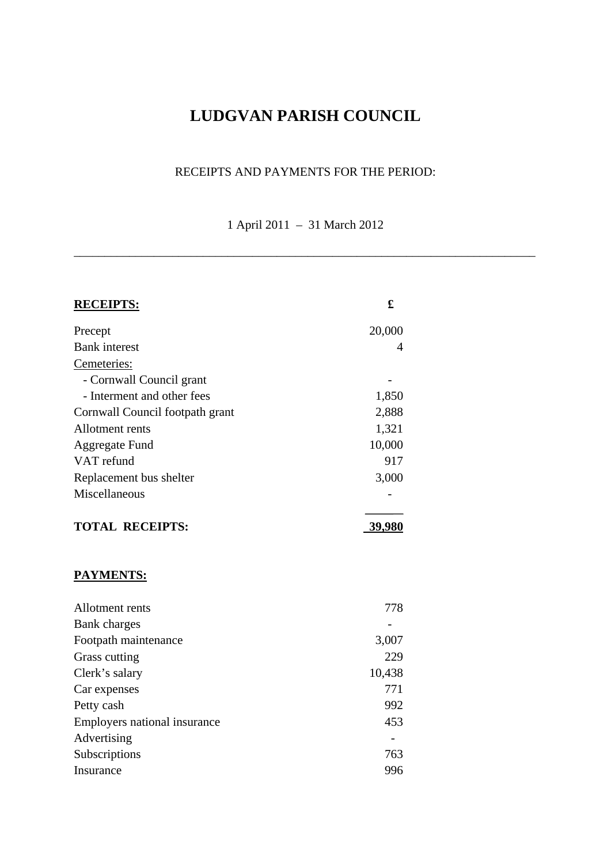# **LUDGVAN PARISH COUNCIL**

### RECEIPTS AND PAYMENTS FOR THE PERIOD:

1 April 2011 – 31 March 2012

\_\_\_\_\_\_\_\_\_\_\_\_\_\_\_\_\_\_\_\_\_\_\_\_\_\_\_\_\_\_\_\_\_\_\_\_\_\_\_\_\_\_\_\_\_\_\_\_\_\_\_\_\_\_\_\_\_\_\_\_\_\_\_\_\_\_\_\_\_\_\_\_\_\_\_

| <b>RECEIPTS:</b>                | £      |
|---------------------------------|--------|
| Precept                         | 20,000 |
| <b>Bank</b> interest            | 4      |
| Cemeteries:                     |        |
| - Cornwall Council grant        |        |
| - Interment and other fees      | 1,850  |
| Cornwall Council footpath grant | 2,888  |
| Allotment rents                 | 1,321  |
| <b>Aggregate Fund</b>           | 10,000 |
| VAT refund                      | 917    |
| Replacement bus shelter         | 3,000  |
| Miscellaneous                   |        |
| <b>TOTAL RECEIPTS:</b>          | 39,980 |
| <u>PAYMENTS:</u>                |        |
| Allotment rents                 | 778    |
| <b>Bank</b> charges             |        |
| Footpath maintenance            | 3,007  |
| Grass cutting                   | 229    |
| Clerk's salary                  | 10,438 |
| Car expenses                    | 771    |
| Petty cash                      | 992    |
| Employers national insurance    | 453    |
| Advertising                     |        |
| Subscriptions                   | 763    |
| Insurance                       | 996    |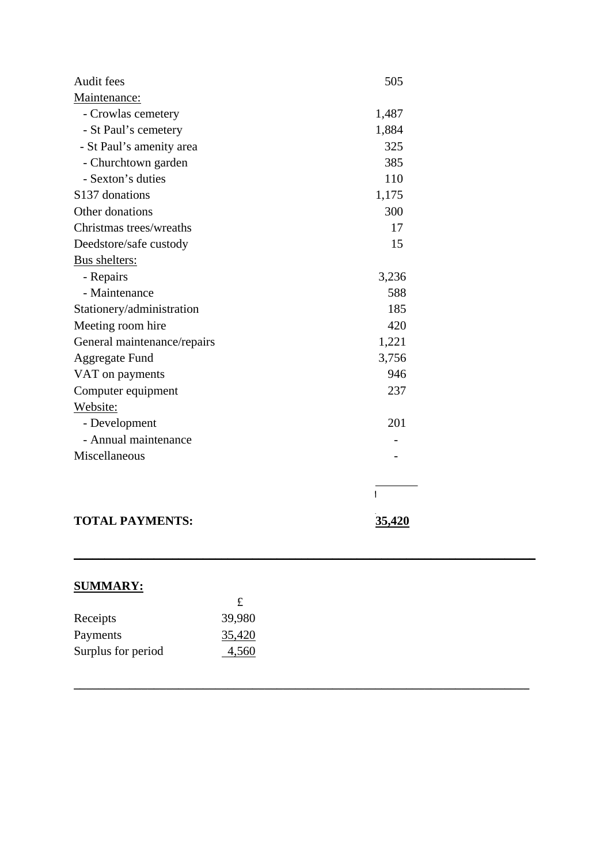| Audit fees                  | 505   |
|-----------------------------|-------|
| Maintenance:                |       |
| - Crowlas cemetery          | 1,487 |
| - St Paul's cemetery        | 1,884 |
| - St Paul's amenity area    | 325   |
| - Churchtown garden         | 385   |
| - Sexton's duties           | 110   |
| S137 donations              | 1,175 |
| Other donations             | 300   |
| Christmas trees/wreaths     | 17    |
| Deedstore/safe custody      | 15    |
| Bus shelters:               |       |
| - Repairs                   | 3,236 |
| - Maintenance               | 588   |
| Stationery/administration   | 185   |
| Meeting room hire           | 420   |
| General maintenance/repairs | 1,221 |
| <b>Aggregate Fund</b>       | 3,756 |
| VAT on payments             | 946   |
| Computer equipment          | 237   |
| Website:                    |       |
| - Development               | 201   |
| - Annual maintenance        |       |
| Miscellaneous               |       |
|                             |       |
|                             |       |
|                             |       |

## **TOTAL PAYMENTS:** 35,420

**\_\_\_\_\_\_\_\_\_\_\_\_\_\_\_\_\_\_\_\_\_\_\_\_\_\_\_\_\_\_\_\_\_\_\_\_\_\_\_\_\_\_\_\_\_\_\_\_\_\_\_\_\_\_\_\_\_\_\_\_\_\_\_\_\_\_\_\_\_\_\_\_\_\_\_**

**\_\_\_\_\_\_\_\_\_\_\_\_\_\_\_\_\_\_\_\_\_\_\_\_\_\_\_\_\_\_\_\_\_\_\_\_\_\_\_\_\_\_\_\_\_\_\_\_\_\_\_\_\_\_\_\_\_\_\_\_\_\_\_\_\_\_\_\_\_\_\_\_\_\_** 

## **SUMMARY:**

|                    | £.     |
|--------------------|--------|
| Receipts           | 39,980 |
| Payments           | 35,420 |
| Surplus for period | 4,560  |